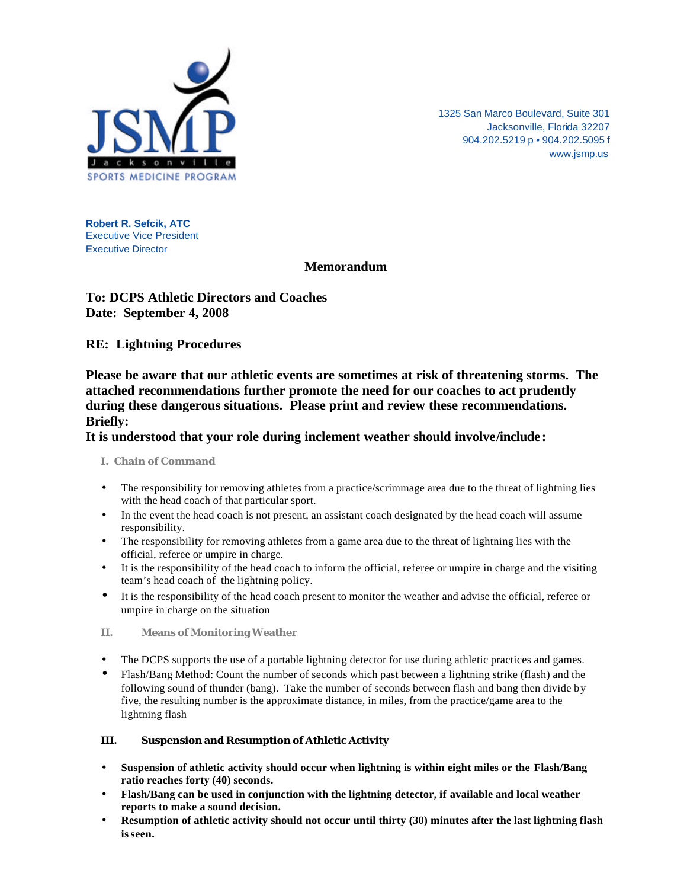

1325 San Marco Boulevard, Suite 301 Jacksonville, Florida 32207 904.202.5219 p • 904.202.5095 f www.jsmp.us

**Robert R. Sefcik, ATC** Executive Vice President Executive Director

# **Memorandum**

# **To: DCPS Athletic Directors and Coaches Date: September 4, 2008**

## **RE: Lightning Procedures**

**Please be aware that our athletic events are sometimes at risk of threatening storms. The attached recommendations further promote the need for our coaches to act prudently during these dangerous situations. Please print and review these recommendations. Briefly:**

### **It is understood that your role during inclement weather should involve/include:**

### **I. Chain of Command**

- The responsibility for removing athletes from a practice/scrimmage area due to the threat of lightning lies with the head coach of that particular sport.
- In the event the head coach is not present, an assistant coach designated by the head coach will assume responsibility.
- The responsibility for removing athletes from a game area due to the threat of lightning lies with the official, referee or umpire in charge.
- It is the responsibility of the head coach to inform the official, referee or umpire in charge and the visiting team's head coach of the lightning policy.
- It is the responsibility of the head coach present to monitor the weather and advise the official, referee or umpire in charge on the situation
- **II. Means of Monitoring Weather**
- The DCPS supports the use of a portable lightning detector for use during athletic practices and games.
- Flash/Bang Method: Count the number of seconds which past between a lightning strike (flash) and the following sound of thunder (bang). Take the number of seconds between flash and bang then divide by five, the resulting number is the approximate distance, in miles, from the practice/game area to the lightning flash

### **III. Suspension and Resumption of Athletic Activity**

- **Suspension of athletic activity should occur when lightning is within eight miles or the Flash/Bang ratio reaches forty (40) seconds.**
- **Flash/Bang can be used in conjunction with the lightning detector, if available and local weather reports to make a sound decision.**
- **Resumption of athletic activity should not occur until thirty (30) minutes after the last lightning flash is seen.**